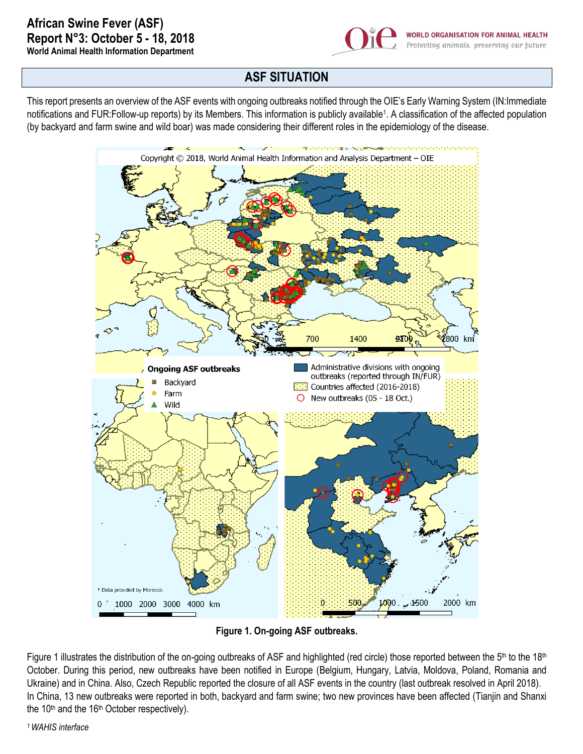

## **ASF SITUATION**

This report presents an overview of the ASF events with ongoing outbreaks notified through the OIE's Early Warning System (IN:Immediate notifications and FUR:Follow-up reports) by its Members. This information is publicly available<sup>1</sup>. A classification of the affected population (by backyard and farm swine and wild boar) was made considering their different roles in the epidemiology of the disease.



**Figure 1. On-going ASF outbreaks.**

Figure 1 illustrates the distribution of the on-going outbreaks of ASF and highlighted (red circle) those reported between the 5<sup>th</sup> to the 18<sup>th</sup> October. During this period, new outbreaks have been notified in Europe (Belgium, Hungary, Latvia, Moldova, Poland, Romania and Ukraine) and in China. Also, Czech Republic reported the closure of all ASF events in the country (last outbreak resolved in April 2018). In China, 13 new outbreaks were reported in both, backyard and farm swine; two new provinces have been affected (Tianjin and Shanxi the  $10<sup>th</sup>$  and the  $16<sup>th</sup>$  October respectively).